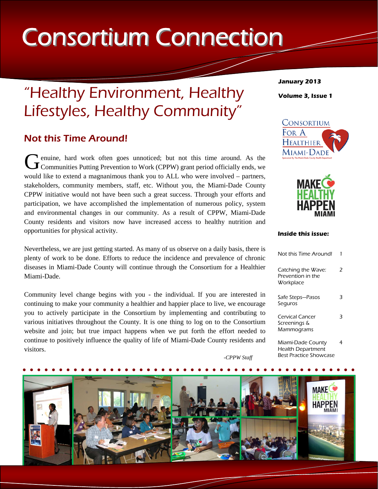# Consortium Connection

# "Healthy Environment, Healthy Lifestyles, Healthy Community"

## Not this Time Around!

G enuine, hard work often goes unnoticed; but not this time around. As the Communities Putting Prevention to Work (CPPW) grant period officially ends, we would like to extend a magnanimous thank you to ALL who were involved – partners, stakeholders, community members, staff, etc. Without you, the Miami-Dade County CPPW initiative would not have been such a great success. Through your efforts and participation, we have accomplished the implementation of numerous policy, system and environmental changes in our community. As a result of CPPW, Miami-Dade County residents and visitors now have increased access to healthy nutrition and opportunities for physical activity.

Nevertheless, we are just getting started. As many of us observe on a daily basis, there is plenty of work to be done. Efforts to reduce the incidence and prevalence of chronic diseases in Miami-Dade County will continue through the Consortium for a Healthier Miami-Dade.

Community level change begins with you - the individual. If you are interested in continuing to make your community a healthier and happier place to live, we encourage you to actively participate in the Consortium by implementing and contributing to various initiatives throughout the County. It is one thing to log on to the Consortium website and join; but true impact happens when we put forth the effort needed to continue to positively influence the quality of life of Miami-Dade County residents and visitors.

*-CPPW Staff* 



**January 2013 Volume 3, Issue 1** 





#### **Inside this issue:**

| Not this Time Around!                                |   |
|------------------------------------------------------|---|
| Catching the Wave:<br>Prevention in the<br>Workplace | 7 |
| Safe Steps-Pasos<br>Seguros                          | З |
| Cervical Cancer<br>Screenings &<br>Mammograms        |   |
| Miami-Dade County<br><b>Health Department</b>        |   |

Best Practice Showcase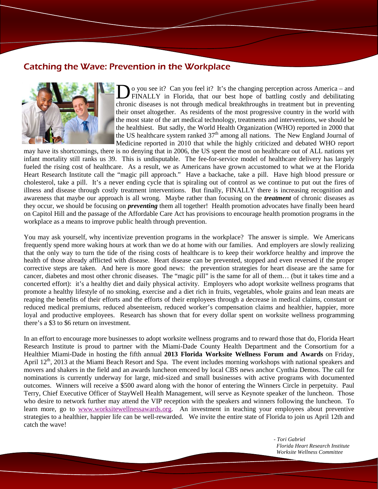#### Catching the Wave: Prevention in the Workplace



Do you see it? Can you feel it? It's the changing perception across America – and FINALLY in Florida, that our best hope of battling costly and debilitating chronic diseases is not through medical breakthroughs in treatment but in preventing their onset altogether. As residents of the most progressive country in the world with the most state of the art medical technology, treatments and interventions, we should be the healthiest. But sadly, the World Health Organization (WHO) reported in 2000 that the US healthcare system ranked  $37<sup>th</sup>$  among all nations. The New England Journal of Medicine reported in 2010 that while the highly criticized and debated WHO report

may have its shortcomings, there is no denying that in 2006, the US spent the most on healthcare out of ALL nations yet infant mortality still ranks us 39. This is undisputable. The fee-for-service model of healthcare delivery has largely fueled the rising cost of healthcare. As a result, we as Americans have grown accustomed to what we at the Florida Heart Research Institute call the "magic pill approach." Have a backache, take a pill. Have high blood pressure or cholesterol, take a pill. It's a never ending cycle that is spiraling out of control as we continue to put out the fires of illness and disease through costly treatment interventions. But finally, FINALLY there is increasing recognition and awareness that maybe our approach is all wrong. Maybe rather than focusing on the *treatment* of chronic diseases as they occur, we should be focusing on *preventing* them all together! Health promotion advocates have finally been heard on Capitol Hill and the passage of the Affordable Care Act has provisions to encourage health promotion programs in the workplace as a means to improve public health through prevention.

You may ask yourself, why incentivize prevention programs in the workplace? The answer is simple. We Americans frequently spend more waking hours at work than we do at home with our families. And employers are slowly realizing that the only way to turn the tide of the rising costs of healthcare is to keep their workforce healthy and improve the health of those already afflicted with disease. Heart disease can be prevented, stopped and even reversed if the proper corrective steps are taken. And here is more good news: the prevention strategies for heart disease are the same for cancer, diabetes and most other chronic diseases. The "magic pill" is the same for all of them… (but it takes time and a concerted effort): it's a healthy diet and daily physical activity. Employers who adopt worksite wellness programs that promote a healthy lifestyle of no smoking, exercise and a diet rich in fruits, vegetables, whole grains and lean meats are reaping the benefits of their efforts and the efforts of their employees through a decrease in medical claims, constant or reduced medical premiums, reduced absenteeism, reduced worker's compensation claims and healthier, happier, more loyal and productive employees. Research has shown that for every dollar spent on worksite wellness programming there's a \$3 to \$6 return on investment.

In an effort to encourage more businesses to adopt worksite wellness programs and to reward those that do, Florida Heart Research Institute is proud to partner with the Miami-Dade County Health Department and the Consortium for a Healthier Miami-Dade in hosting the fifth annual **2013 Florida Worksite Wellness Forum and Awards** on Friday, April 12<sup>th</sup>, 2013 at the Miami Beach Resort and Spa. The event includes morning workshops with national speakers and movers and shakers in the field and an awards luncheon emceed by local CBS news anchor Cynthia Demos. The call for nominations is currently underway for large, mid-sized and small businesses with active programs with documented outcomes. Winners will receive a \$500 award along with the honor of entering the Winners Circle in perpetuity. Paul Terry, Chief Executive Officer of StayWell Health Management, will serve as Keynote speaker of the luncheon. Those who desire to network further may attend the VIP reception with the speakers and winners following the luncheon. To learn more, go to www.worksitewellnessawards.org. An investment in teaching your employees about preventive strategies to a healthier, happier life can be well-rewarded. We invite the entire state of Florida to join us April 12th and catch the wave!

> *- Tori Gabriel Florida Heart Research Institute Worksite Wellness Committee*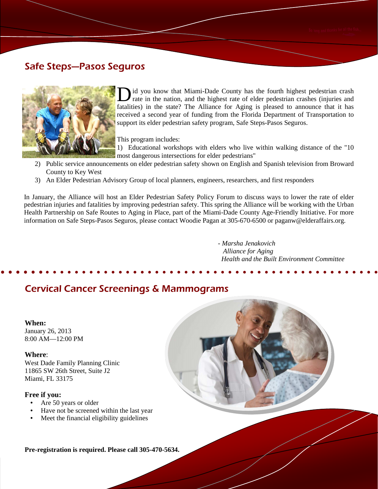## Safe Steps—Pasos Seguros



D id you know that Miami-Dade County has the fourth highest pedestrian crash rate in the nation, and the highest rate of elder pedestrian crashes (injuries and fatalities) in the state? The Alliance for Aging is pleased to announce that it has received a second year of funding from the Florida Department of Transportation to support its elder pedestrian safety program, Safe Steps-Pasos Seguros.

This program includes:

1) Educational workshops with elders who live within walking distance of the "10 most dangerous intersections for elder pedestrians"

- 2) Public service announcements on elder pedestrian safety shown on English and Spanish television from Broward County to Key West
- 3) An Elder Pedestrian Advisory Group of local planners, engineers, researchers, and first responders

In January, the Alliance will host an Elder Pedestrian Safety Policy Forum to discuss ways to lower the rate of elder pedestrian injuries and fatalities by improving pedestrian safety. This spring the Alliance will be working with the Urban Health Partnership on Safe Routes to Aging in Place, part of the Miami-Dade County Age-Friendly Initiative. For more information on Safe Steps-Pasos Seguros, please contact Woodie Pagan at 305-670-6500 or paganw@elderaffairs.org.

> *- Marsha Jenakovich Alliance for Aging Health and the Built Environment Committee*

## Cervical Cancer Screenings & Mammograms

#### **When:**

January 26, 2013 8:00 AM—12:00 PM

#### **Where**:

West Dade Family Planning Clinic 11865 SW 26th Street, Suite J2 Miami, FL 33175

#### **Free if you:**

- Are 50 years or older
- Have not be screened within the last year
- Meet the financial eligibility guidelines

**Pre-registration is required. Please call 305-470-5634.**